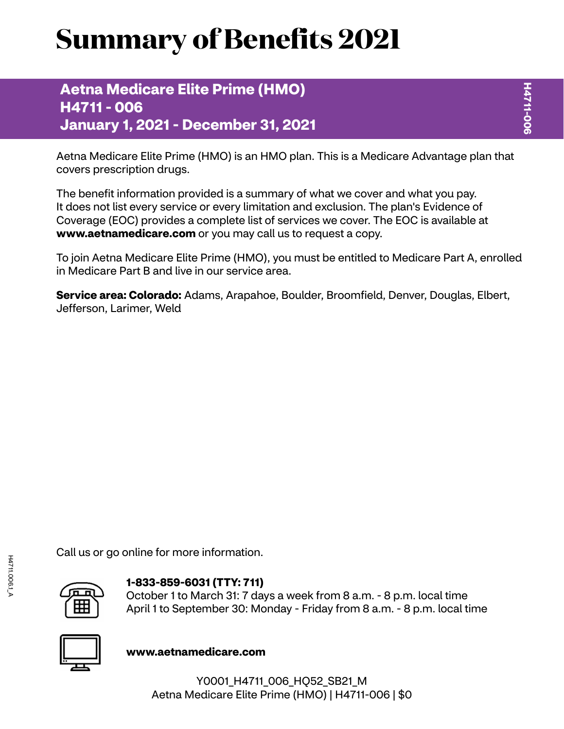# **Summary of Benefits 2021**

**Aetna Medicare Elite Prime (HMO) H4711 - 006 January 1, 2021 - December 31, 2021**

Aetna Medicare Elite Prime (HMO) is an HMO plan. This is a Medicare Advantage plan that covers prescription drugs.

The benefit information provided is a summary of what we cover and what you pay. It does not list every service or every limitation and exclusion. The plan's Evidence of Coverage (EOC) provides a complete list of services we cover. The EOC is available at **<www.aetnamedicare.com>** or you may call us to request a copy.

To join Aetna Medicare Elite Prime (HMO), you must be entitled to Medicare Part A, enrolled in Medicare Part B and live in our service area.

**Service area: Colorado:** Adams, Arapahoe, Boulder, Broomfield, Denver, Douglas, Elbert, Jefferson, Larimer, Weld

Call us or go online for more information.



## **1-833-859-6031 (TTY: 711)**

October 1 to March 31: 7 days a week from 8 a.m. - 8 p.m. local time April 1 to September 30: Monday - Friday from 8 a.m. - 8 p.m. local time



**<www.aetnamedicare.com>**

Y0001\_H4711\_006\_HQ52\_SB21\_M Aetna Medicare Elite Prime (HMO) | H4711-006 | \$0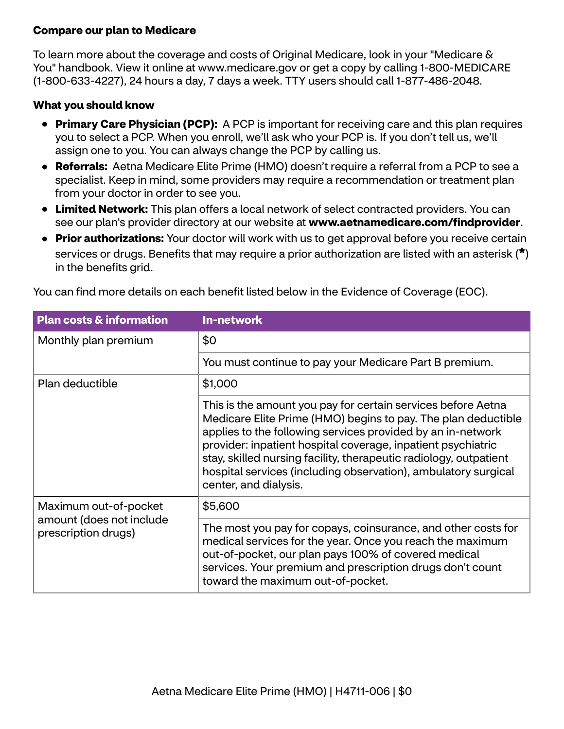## **Compare our plan to Medicare**

To learn more about the coverage and costs of Original Medicare, look in your "Medicare & You" handbook. View it online at<www.medicare.gov>or get a copy by calling 1-800-MEDICARE (1-800-633-4227), 24 hours a day, 7 days a week. TTY users should call 1-877-486-2048.

### **What you should know**

- **Primary Care Physician (PCP):** A PCP is important for receiving care and this plan requires you to select a PCP. When you enroll, we'll ask who your PCP is. If you don't tell us, we'll assign one to you. You can always change the PCP by calling us.
- **Referrals:** Aetna Medicare Elite Prime (HMO) doesn't require a referral from a PCP to see a specialist. Keep in mind, some providers may require a recommendation or treatment plan from your doctor in order to see you.
- **Limited Network:** This plan offers a local network of select contracted providers. You can see our plan's provider directory at our website at **<www.aetnamedicare.com/findprovider>**.
- **Prior authorizations:** Your doctor will work with us to get approval before you receive certain services or drugs. Benefits that may require a prior authorization are listed with an asterisk (**\***) in the benefits grid.

| You can find more details on each benefit listed below in the Evidence of Coverage (EOC). |  |
|-------------------------------------------------------------------------------------------|--|
|                                                                                           |  |

| <b>Plan costs &amp; information</b>             | <b>In-network</b>                                                                                                                                                                                                                                                                                                                                                                                                            |  |
|-------------------------------------------------|------------------------------------------------------------------------------------------------------------------------------------------------------------------------------------------------------------------------------------------------------------------------------------------------------------------------------------------------------------------------------------------------------------------------------|--|
| Monthly plan premium                            | \$0                                                                                                                                                                                                                                                                                                                                                                                                                          |  |
|                                                 | You must continue to pay your Medicare Part B premium.                                                                                                                                                                                                                                                                                                                                                                       |  |
| Plan deductible                                 | \$1,000                                                                                                                                                                                                                                                                                                                                                                                                                      |  |
|                                                 | This is the amount you pay for certain services before Aetna<br>Medicare Elite Prime (HMO) begins to pay. The plan deductible<br>applies to the following services provided by an in-network<br>provider: inpatient hospital coverage, inpatient psychiatric<br>stay, skilled nursing facility, therapeutic radiology, outpatient<br>hospital services (including observation), ambulatory surgical<br>center, and dialysis. |  |
| Maximum out-of-pocket                           | \$5,600                                                                                                                                                                                                                                                                                                                                                                                                                      |  |
| amount (does not include<br>prescription drugs) | The most you pay for copays, coinsurance, and other costs for<br>medical services for the year. Once you reach the maximum<br>out-of-pocket, our plan pays 100% of covered medical<br>services. Your premium and prescription drugs don't count<br>toward the maximum out-of-pocket.                                                                                                                                         |  |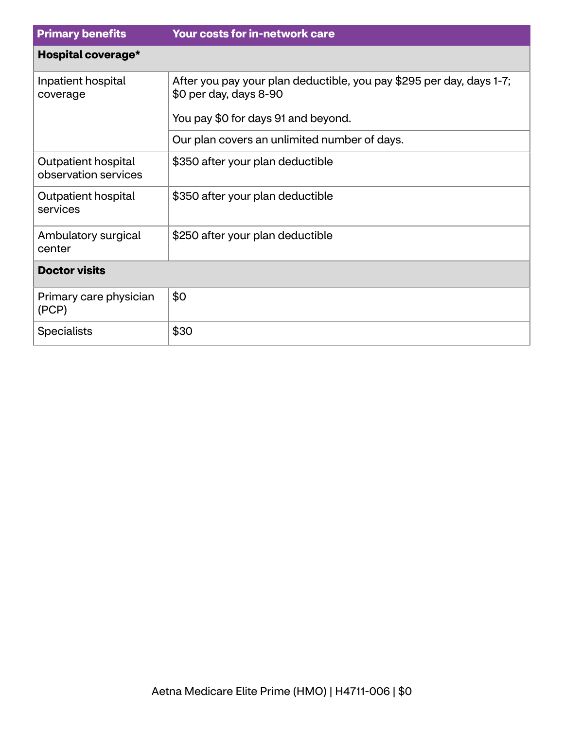| <b>Primary benefits</b>                     | <b>Your costs for in-network care</b>                                                          |  |
|---------------------------------------------|------------------------------------------------------------------------------------------------|--|
| Hospital coverage*                          |                                                                                                |  |
| Inpatient hospital<br>coverage              | After you pay your plan deductible, you pay \$295 per day, days 1-7;<br>\$0 per day, days 8-90 |  |
|                                             | You pay \$0 for days 91 and beyond.                                                            |  |
|                                             | Our plan covers an unlimited number of days.                                                   |  |
| Outpatient hospital<br>observation services | \$350 after your plan deductible                                                               |  |
| Outpatient hospital<br>services             | \$350 after your plan deductible                                                               |  |
| Ambulatory surgical<br>center               | \$250 after your plan deductible                                                               |  |
| <b>Doctor visits</b>                        |                                                                                                |  |
| Primary care physician<br>(PCP)             | \$0                                                                                            |  |
| <b>Specialists</b>                          | \$30                                                                                           |  |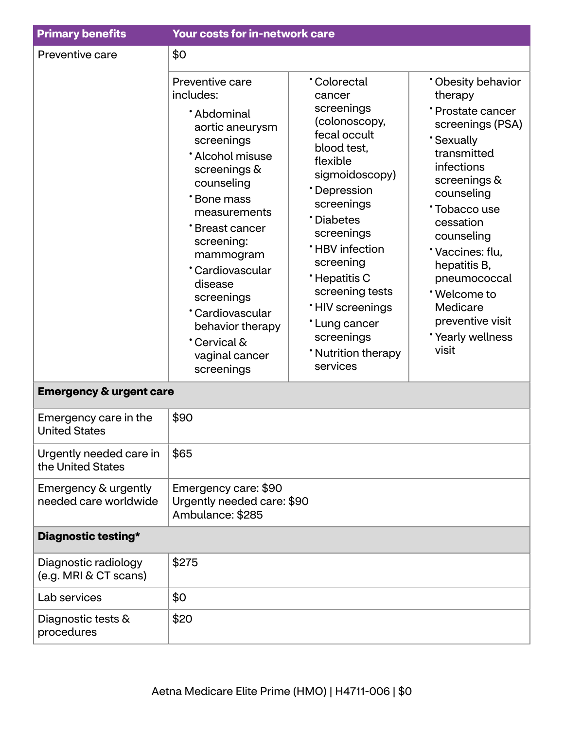| <b>Primary benefits</b>                       | Your costs for in-network care                                                                                                                                                                                                                                                                                                            |                                                                                                                                                                                                                                                                                                                                                     |                                                                                                                                                                                                                                                                                                                                |
|-----------------------------------------------|-------------------------------------------------------------------------------------------------------------------------------------------------------------------------------------------------------------------------------------------------------------------------------------------------------------------------------------------|-----------------------------------------------------------------------------------------------------------------------------------------------------------------------------------------------------------------------------------------------------------------------------------------------------------------------------------------------------|--------------------------------------------------------------------------------------------------------------------------------------------------------------------------------------------------------------------------------------------------------------------------------------------------------------------------------|
| Preventive care                               | \$0                                                                                                                                                                                                                                                                                                                                       |                                                                                                                                                                                                                                                                                                                                                     |                                                                                                                                                                                                                                                                                                                                |
|                                               | Preventive care<br>includes:<br>*Abdominal<br>aortic aneurysm<br>screenings<br>* Alcohol misuse<br>screenings &<br>counseling<br>*Bone mass<br>measurements<br>*Breast cancer<br>screening:<br>mammogram<br>*Cardiovascular<br>disease<br>screenings<br>*Cardiovascular<br>behavior therapy<br>Cervical &<br>vaginal cancer<br>screenings | <b>Colorectal</b><br>cancer<br>screenings<br>(colonoscopy,<br>fecal occult<br>blood test,<br>flexible<br>sigmoidoscopy)<br>*Depression<br>screenings<br>*Diabetes<br>screenings<br><b>*HBV</b> infection<br>screening<br>*Hepatitis C<br>screening tests<br><b>'HIV</b> screenings<br>*Lung cancer<br>screenings<br>* Nutrition therapy<br>services | * Obesity behavior<br>therapy<br>* Prostate cancer<br>screenings (PSA)<br><b>Sexually</b><br>transmitted<br>infections<br>screenings &<br>counseling<br>*Tobacco use<br>cessation<br>counseling<br>*Vaccines: flu,<br>hepatitis B,<br>pneumococcal<br>*Welcome to<br>Medicare<br>preventive visit<br>*Yearly wellness<br>visit |
| <b>Emergency &amp; urgent care</b>            |                                                                                                                                                                                                                                                                                                                                           |                                                                                                                                                                                                                                                                                                                                                     |                                                                                                                                                                                                                                                                                                                                |
| Emergency care in the<br><b>United States</b> | \$90                                                                                                                                                                                                                                                                                                                                      |                                                                                                                                                                                                                                                                                                                                                     |                                                                                                                                                                                                                                                                                                                                |
| Urgently needed care in<br>the United States  | \$65                                                                                                                                                                                                                                                                                                                                      |                                                                                                                                                                                                                                                                                                                                                     |                                                                                                                                                                                                                                                                                                                                |
| Emergency & urgently<br>needed care worldwide | Emergency care: \$90<br>Urgently needed care: \$90<br>Ambulance: \$285                                                                                                                                                                                                                                                                    |                                                                                                                                                                                                                                                                                                                                                     |                                                                                                                                                                                                                                                                                                                                |
| Diagnostic testing*                           |                                                                                                                                                                                                                                                                                                                                           |                                                                                                                                                                                                                                                                                                                                                     |                                                                                                                                                                                                                                                                                                                                |
| Diagnostic radiology<br>(e.g. MRI & CT scans) | \$275                                                                                                                                                                                                                                                                                                                                     |                                                                                                                                                                                                                                                                                                                                                     |                                                                                                                                                                                                                                                                                                                                |
| Lab services                                  | \$0                                                                                                                                                                                                                                                                                                                                       |                                                                                                                                                                                                                                                                                                                                                     |                                                                                                                                                                                                                                                                                                                                |
| Diagnostic tests &<br>procedures              | \$20                                                                                                                                                                                                                                                                                                                                      |                                                                                                                                                                                                                                                                                                                                                     |                                                                                                                                                                                                                                                                                                                                |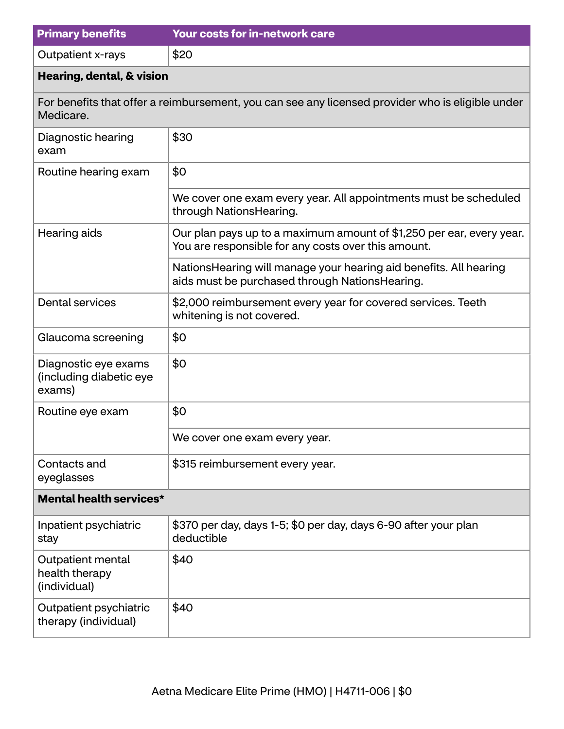| <b>Primary benefits</b>                                   | <b>Your costs for in-network care</b>                                                                                       |  |
|-----------------------------------------------------------|-----------------------------------------------------------------------------------------------------------------------------|--|
| Outpatient x-rays                                         | \$20                                                                                                                        |  |
| Hearing, dental, & vision                                 |                                                                                                                             |  |
| Medicare.                                                 | For benefits that offer a reimbursement, you can see any licensed provider who is eligible under                            |  |
| Diagnostic hearing<br>exam                                | \$30                                                                                                                        |  |
| Routine hearing exam                                      | \$0                                                                                                                         |  |
|                                                           | We cover one exam every year. All appointments must be scheduled<br>through NationsHearing.                                 |  |
| Hearing aids                                              | Our plan pays up to a maximum amount of \$1,250 per ear, every year.<br>You are responsible for any costs over this amount. |  |
|                                                           | NationsHearing will manage your hearing aid benefits. All hearing<br>aids must be purchased through NationsHearing.         |  |
| <b>Dental services</b>                                    | \$2,000 reimbursement every year for covered services. Teeth<br>whitening is not covered.                                   |  |
| Glaucoma screening                                        | \$0                                                                                                                         |  |
| Diagnostic eye exams<br>(including diabetic eye<br>exams) | \$0                                                                                                                         |  |
| Routine eye exam                                          | \$0                                                                                                                         |  |
|                                                           | We cover one exam every year.                                                                                               |  |
| Contacts and<br>eyeglasses                                | \$315 reimbursement every year.                                                                                             |  |
| <b>Mental health services*</b>                            |                                                                                                                             |  |
| Inpatient psychiatric<br>stay                             | \$370 per day, days 1-5; \$0 per day, days 6-90 after your plan<br>deductible                                               |  |
| Outpatient mental<br>health therapy<br>(individual)       | \$40                                                                                                                        |  |
| Outpatient psychiatric<br>therapy (individual)            | \$40                                                                                                                        |  |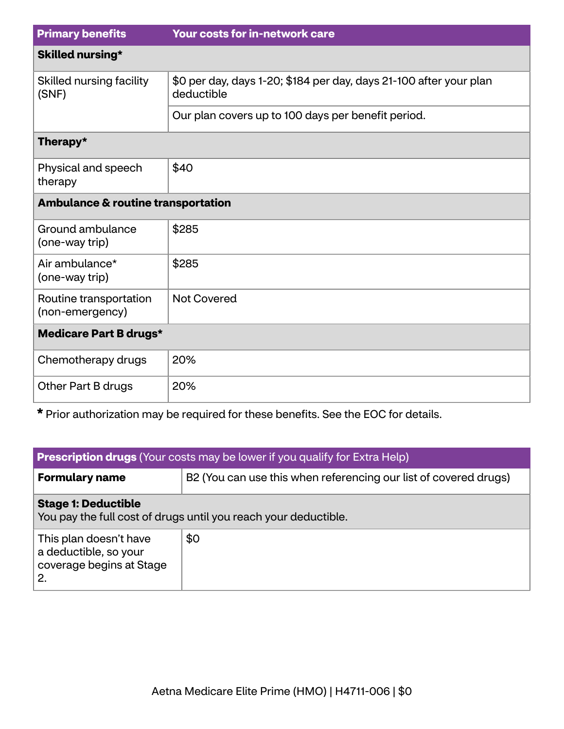| <b>Primary benefits</b>                       | <b>Your costs for in-network care</b>                                            |  |
|-----------------------------------------------|----------------------------------------------------------------------------------|--|
| <b>Skilled nursing*</b>                       |                                                                                  |  |
| Skilled nursing facility<br>(SNF)             | \$0 per day, days 1-20; \$184 per day, days 21-100 after your plan<br>deductible |  |
|                                               | Our plan covers up to 100 days per benefit period.                               |  |
| Therapy*                                      |                                                                                  |  |
| Physical and speech<br>therapy                | \$40                                                                             |  |
| <b>Ambulance &amp; routine transportation</b> |                                                                                  |  |
| Ground ambulance<br>(one-way trip)            | \$285                                                                            |  |
| Air ambulance*<br>(one-way trip)              | \$285                                                                            |  |
| Routine transportation<br>(non-emergency)     | <b>Not Covered</b>                                                               |  |
| <b>Medicare Part B drugs*</b>                 |                                                                                  |  |
| Chemotherapy drugs                            | 20%                                                                              |  |
| Other Part B drugs                            | 20%                                                                              |  |

**\*** Prior authorization may be required for these benefits. See the EOC for details.

| <b>Prescription drugs</b> (Your costs may be lower if you qualify for Extra Help)             |                                                                  |  |
|-----------------------------------------------------------------------------------------------|------------------------------------------------------------------|--|
| <b>Formulary name</b>                                                                         | B2 (You can use this when referencing our list of covered drugs) |  |
| <b>Stage 1: Deductible</b><br>You pay the full cost of drugs until you reach your deductible. |                                                                  |  |
| This plan doesn't have<br>a deductible, so your<br>coverage begins at Stage<br>2.             | \$0                                                              |  |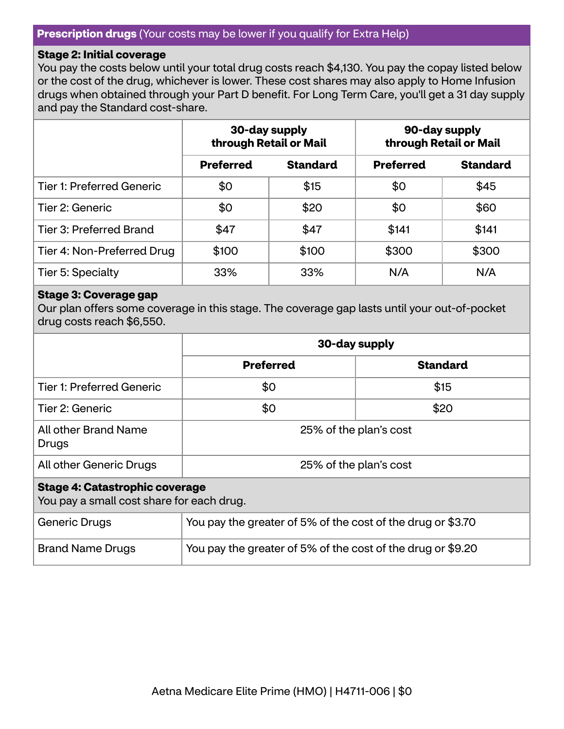#### **Stage 2: Initial coverage**

You pay the costs below until your total drug costs reach \$4,130. You pay the copay listed below or the cost of the drug, whichever is lower. These cost shares may also apply to Home Infusion drugs when obtained through your Part D benefit. For Long Term Care, you'll get a 31 day supply and pay the Standard cost-share.

|                                  | 30-day supply<br>through Retail or Mail |                 | 90-day supply<br>through Retail or Mail |                 |
|----------------------------------|-----------------------------------------|-----------------|-----------------------------------------|-----------------|
|                                  | <b>Preferred</b>                        | <b>Standard</b> | <b>Preferred</b>                        | <b>Standard</b> |
| <b>Tier 1: Preferred Generic</b> | \$0                                     | \$15            | \$0                                     | \$45            |
| Tier 2: Generic                  | \$0                                     | \$20            | \$0                                     | \$60            |
| <b>Tier 3: Preferred Brand</b>   | \$47                                    | \$47            | \$141                                   | \$141           |
| Tier 4: Non-Preferred Drug       | \$100                                   | \$100           | \$300                                   | \$300           |
| Tier 5: Specialty                | 33%                                     | 33%             | N/A                                     | N/A             |

#### **Stage 3: Coverage gap**

Our plan offers some coverage in this stage. The coverage gap lasts until your out-of-pocket drug costs reach \$6,550.

|                                                                                    | 30-day supply                                               |                 |
|------------------------------------------------------------------------------------|-------------------------------------------------------------|-----------------|
|                                                                                    | <b>Preferred</b>                                            | <b>Standard</b> |
| <b>Tier 1: Preferred Generic</b>                                                   | \$0                                                         | \$15            |
| Tier 2: Generic                                                                    | \$0                                                         | \$20            |
| All other Brand Name<br>Drugs                                                      | 25% of the plan's cost                                      |                 |
| All other Generic Drugs                                                            | 25% of the plan's cost                                      |                 |
| <b>Stage 4: Catastrophic coverage</b><br>You pay a small cost share for each drug. |                                                             |                 |
| Generic Drugs                                                                      | You pay the greater of 5% of the cost of the drug or \$3.70 |                 |
| <b>Brand Name Drugs</b>                                                            | You pay the greater of 5% of the cost of the drug or \$9.20 |                 |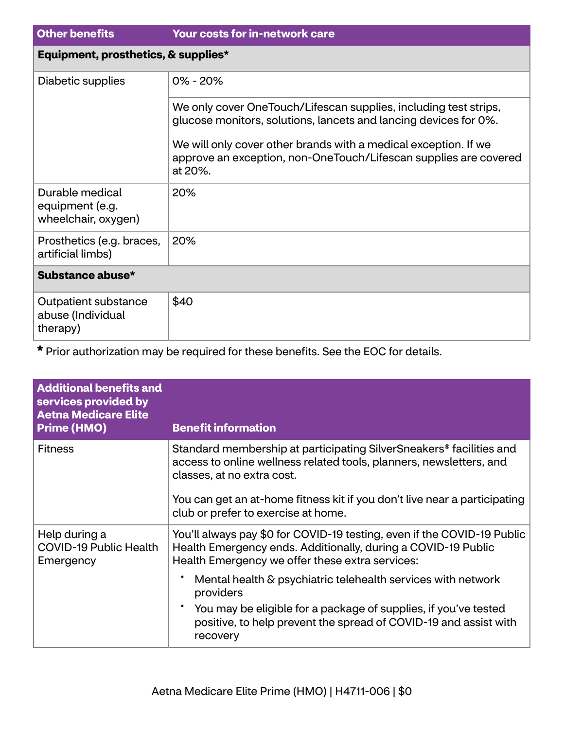| <b>Other benefits</b>                                        | <b>Your costs for in-network care</b>                                                                                                          |
|--------------------------------------------------------------|------------------------------------------------------------------------------------------------------------------------------------------------|
| Equipment, prosthetics, & supplies*                          |                                                                                                                                                |
| Diabetic supplies                                            | $0\% - 20\%$                                                                                                                                   |
|                                                              | We only cover OneTouch/Lifescan supplies, including test strips,<br>glucose monitors, solutions, lancets and lancing devices for 0%.           |
|                                                              | We will only cover other brands with a medical exception. If we<br>approve an exception, non-OneTouch/Lifescan supplies are covered<br>at 20%. |
| Durable medical<br>equipment (e.g.<br>wheelchair, oxygen)    | 20%                                                                                                                                            |
| Prosthetics (e.g. braces,<br>artificial limbs)               | 20%                                                                                                                                            |
| Substance abuse*                                             |                                                                                                                                                |
| <b>Outpatient substance</b><br>abuse (Individual<br>therapy) | \$40                                                                                                                                           |

**\*** Prior authorization may be required for these benefits. See the EOC for details.

| <b>Additional benefits and</b><br>services provided by<br><b>Aetna Medicare Elite</b><br><b>Prime (HMO)</b> | <b>Benefit information</b>                                                                                                                                                                                                                                                                                                                                                                                      |
|-------------------------------------------------------------------------------------------------------------|-----------------------------------------------------------------------------------------------------------------------------------------------------------------------------------------------------------------------------------------------------------------------------------------------------------------------------------------------------------------------------------------------------------------|
| <b>Fitness</b>                                                                                              | Standard membership at participating SilverSneakers <sup>®</sup> facilities and<br>access to online wellness related tools, planners, newsletters, and<br>classes, at no extra cost.<br>You can get an at-home fitness kit if you don't live near a participating<br>club or prefer to exercise at home.                                                                                                        |
| Help during a<br><b>COVID-19 Public Health</b><br>Emergency                                                 | You'll always pay \$0 for COVID-19 testing, even if the COVID-19 Public<br>Health Emergency ends. Additionally, during a COVID-19 Public<br>Health Emergency we offer these extra services:<br>Mental health & psychiatric telehealth services with network<br>providers<br>You may be eligible for a package of supplies, if you've tested<br>positive, to help prevent the spread of COVID-19 and assist with |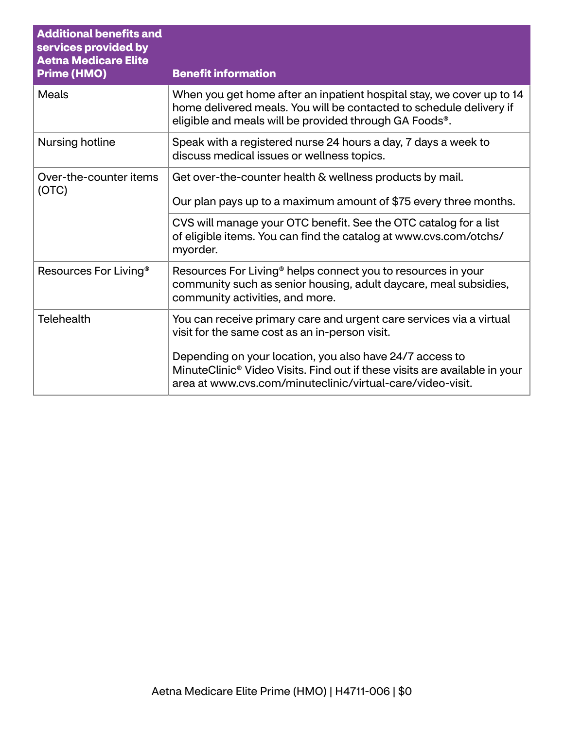| <b>Additional benefits and</b><br>services provided by<br><b>Aetna Medicare Elite</b><br><b>Prime (HMO)</b> | <b>Benefit information</b>                                                                                                                                                                                       |
|-------------------------------------------------------------------------------------------------------------|------------------------------------------------------------------------------------------------------------------------------------------------------------------------------------------------------------------|
| <b>Meals</b>                                                                                                | When you get home after an inpatient hospital stay, we cover up to 14<br>home delivered meals. You will be contacted to schedule delivery if<br>eligible and meals will be provided through GA Foods®.           |
| <b>Nursing hotline</b>                                                                                      | Speak with a registered nurse 24 hours a day, 7 days a week to<br>discuss medical issues or wellness topics.                                                                                                     |
| Over-the-counter items<br>(OTC)                                                                             | Get over-the-counter health & wellness products by mail.<br>Our plan pays up to a maximum amount of \$75 every three months.                                                                                     |
|                                                                                                             | CVS will manage your OTC benefit. See the OTC catalog for a list<br>of eligible items. You can find the catalog at www.cvs.com/otchs/<br>myorder.                                                                |
| Resources For Living <sup>®</sup>                                                                           | Resources For Living <sup>®</sup> helps connect you to resources in your<br>community such as senior housing, adult daycare, meal subsidies,<br>community activities, and more.                                  |
| <b>Telehealth</b>                                                                                           | You can receive primary care and urgent care services via a virtual<br>visit for the same cost as an in-person visit.                                                                                            |
|                                                                                                             | Depending on your location, you also have 24/7 access to<br>MinuteClinic <sup>®</sup> Video Visits. Find out if these visits are available in your<br>area at www.cvs.com/minuteclinic/virtual-care/video-visit. |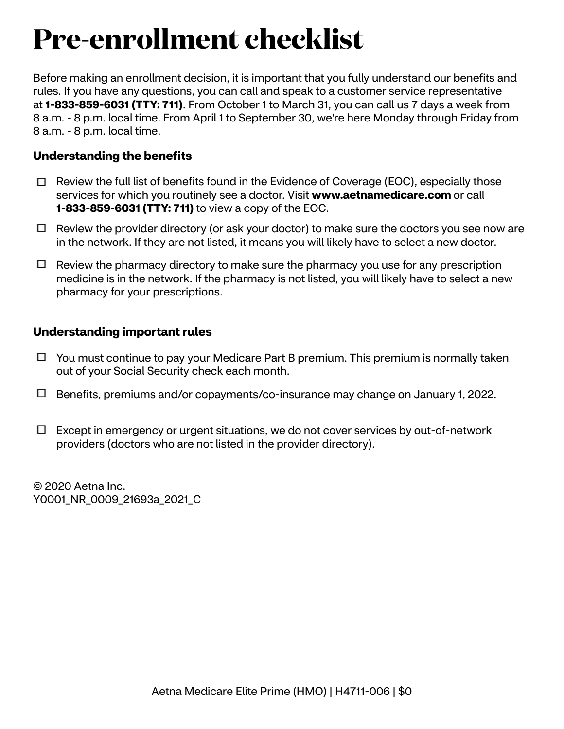## **Pre-enrollment checklist**

Before making an enrollment decision, it is important that you fully understand our benefits and rules. If you have any questions, you can call and speak to a customer service representative at **1-833-859-6031 (TTY: 711)**. From October 1 to March 31, you can call us 7 days a week from 8 a.m. - 8 p.m. local time. From April 1 to September 30, we're here Monday through Friday from 8 a.m. - 8 p.m. local time.

## **Understanding the benefits**

- $\Box$  Review the full list of benefits found in the Evidence of Coverage (EOC), especially those services for which you routinely see a doctor. Visit **<www.aetnamedicare.com>** or call **1-833-859-6031 (TTY: 711)** to view a copy of the EOC.
- $\Box$  Review the provider directory (or ask your doctor) to make sure the doctors you see now are in the network. If they are not listed, it means you will likely have to select a new doctor.
- $\Box$  Review the pharmacy directory to make sure the pharmacy you use for any prescription medicine is in the network. If the pharmacy is not listed, you will likely have to select a new pharmacy for your prescriptions.

## **Understanding important rules**

- $\Box$  You must continue to pay your Medicare Part B premium. This premium is normally taken out of your Social Security check each month.
- Benefits, premiums and/or copayments/co-insurance may change on January 1, 2022.
- $\Box$  Except in emergency or urgent situations, we do not cover services by out-of-network providers (doctors who are not listed in the provider directory).

© 2020 Aetna Inc. Y0001\_NR\_0009\_21693a\_2021\_C